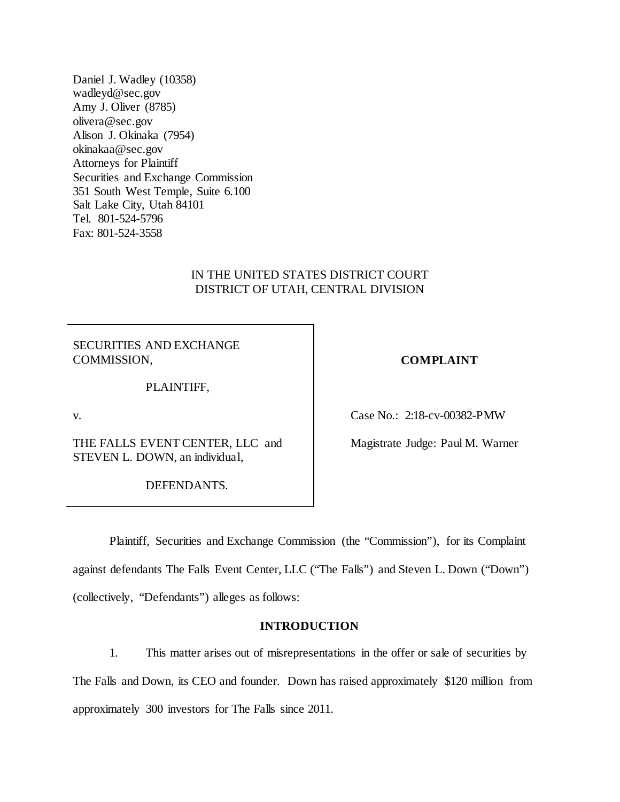Daniel J. Wadley (10358) wadleyd@sec.gov Amy J. Oliver (8785) olivera@sec.gov Alison J. Okinaka (7954) okinakaa@sec.gov Attorneys for Plaintiff Securities and Exchange Commission 351 South West Temple, Suite 6.100 Salt Lake City, Utah 84101 Tel. 801-524-5796 Fax: 801-524-3558

# IN THE UNITED STATES DISTRICT COURT DISTRICT OF UTAH, CENTRAL DIVISION

SECURITIES AND EXCHANGE COMMISSION,

PLAINTIFF,

v.

THE FALLS EVENT CENTER, LLC and STEVEN L. DOWN, an individual,

DEFENDANTS.

## **COMPLAINT**

Case No.: 2:18-cv-00382-PMW

Magistrate Judge: Paul M. Warner

Plaintiff, Securities and Exchange Commission (the "Commission"), for its Complaint against defendants The Falls Event Center, LLC ("The Falls") and Steven L. Down ("Down") (collectively, "Defendants") alleges as follows:

# **INTRODUCTION**

1. This matter arises out of misrepresentations in the offer or sale of securities by The Falls and Down, its CEO and founder. Down has raised approximately \$120 million from approximately 300 investors for The Falls since 2011.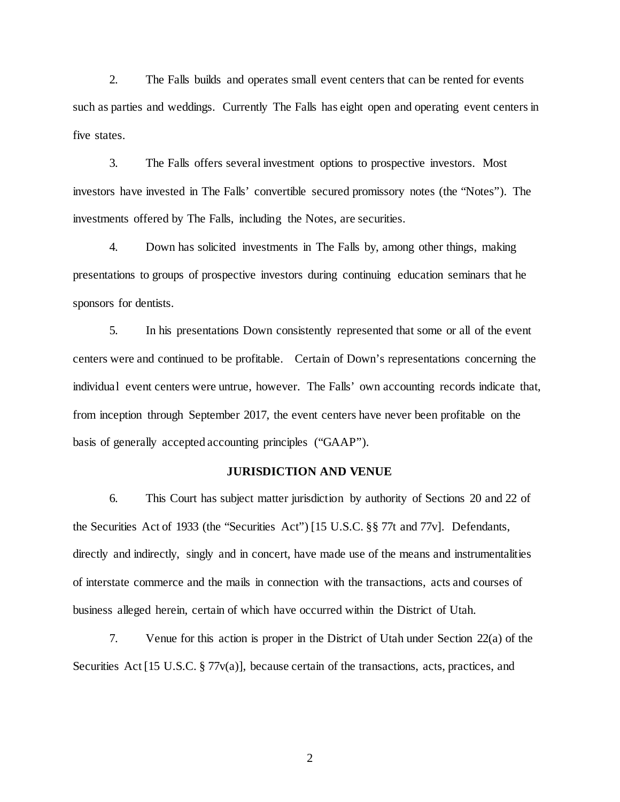2. The Falls builds and operates small event centers that can be rented for events such as parties and weddings. Currently The Falls has eight open and operating event centers in five states.

3. The Falls offers several investment options to prospective investors. Most investors have invested in The Falls' convertible secured promissory notes (the "Notes"). The investments offered by The Falls, including the Notes, are securities.

4. Down has solicited investments in The Falls by, among other things, making presentations to groups of prospective investors during continuing education seminars that he sponsors for dentists.

5. In his presentations Down consistently represented that some or all of the event centers were and continued to be profitable. Certain of Down's representations concerning the individual event centers were untrue, however. The Falls' own accounting records indicate that, from inception through September 2017, the event centers have never been profitable on the basis of generally accepted accounting principles ("GAAP").

## **JURISDICTION AND VENUE**

6. This Court has subject matter jurisdiction by authority of Sections 20 and 22 of the Securities Act of 1933 (the "Securities Act") [15 U.S.C. §§ 77t and 77v]. Defendants, directly and indirectly, singly and in concert, have made use of the means and instrumentalities of interstate commerce and the mails in connection with the transactions, acts and courses of business alleged herein, certain of which have occurred within the District of Utah.

7. Venue for this action is proper in the District of Utah under Section 22(a) of the Securities Act [15 U.S.C. § 77v(a)], because certain of the transactions, acts, practices, and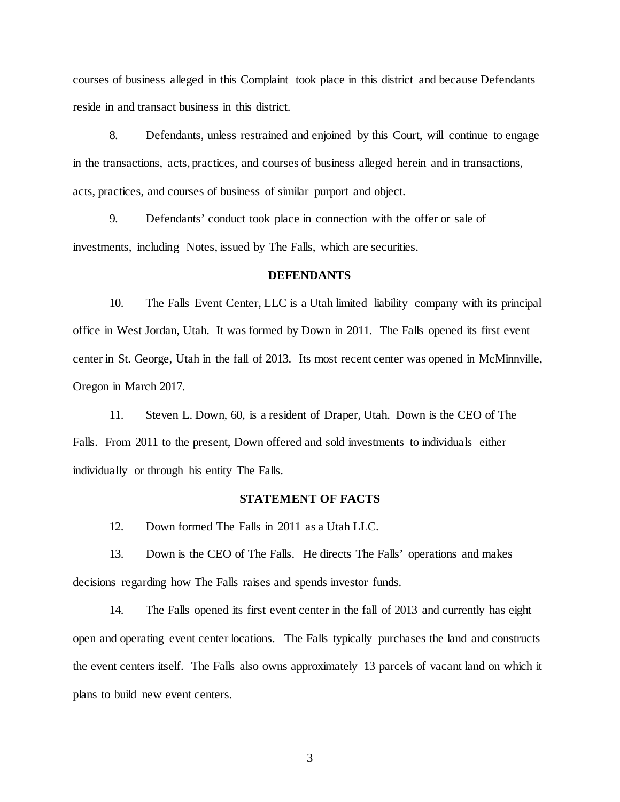courses of business alleged in this Complaint took place in this district and because Defendants reside in and transact business in this district.

8. Defendants, unless restrained and enjoined by this Court, will continue to engage in the transactions, acts, practices, and courses of business alleged herein and in transactions, acts, practices, and courses of business of similar purport and object.

9. Defendants' conduct took place in connection with the offer or sale of investments, including Notes, issued by The Falls, which are securities.

## **DEFENDANTS**

10. The Falls Event Center, LLC is a Utah limited liability company with its principal office in West Jordan, Utah. It was formed by Down in 2011. The Falls opened its first event center in St. George, Utah in the fall of 2013. Its most recent center was opened in McMinnville, Oregon in March 2017.

11. Steven L. Down, 60, is a resident of Draper, Utah. Down is the CEO of The Falls. From 2011 to the present, Down offered and sold investments to individuals either individually or through his entity The Falls.

## **STATEMENT OF FACTS**

12. Down formed The Falls in 2011 as a Utah LLC.

13. Down is the CEO of The Falls. He directs The Falls' operations and makes decisions regarding how The Falls raises and spends investor funds.

14. The Falls opened its first event center in the fall of 2013 and currently has eight open and operating event center locations. The Falls typically purchases the land and constructs the event centers itself. The Falls also owns approximately 13 parcels of vacant land on which it plans to build new event centers.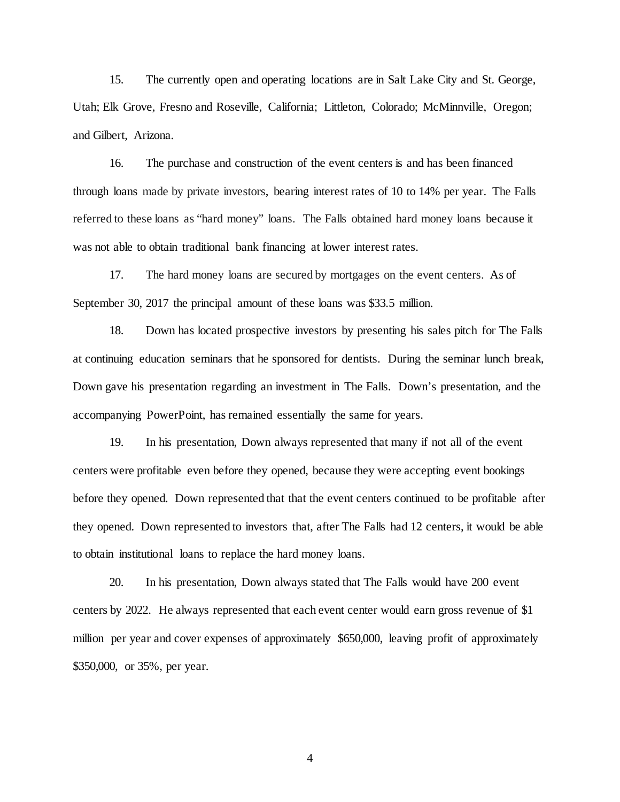15. The currently open and operating locations are in Salt Lake City and St. George, Utah; Elk Grove, Fresno and Roseville, California; Littleton, Colorado; McMinnville, Oregon; and Gilbert, Arizona.

16. The purchase and construction of the event centers is and has been financed through loans made by private investors, bearing interest rates of 10 to 14% per year. The Falls referred to these loans as "hard money" loans. The Falls obtained hard money loans because it was not able to obtain traditional bank financing at lower interest rates.

17. The hard money loans are secured by mortgages on the event centers. As of September 30, 2017 the principal amount of these loans was \$33.5 million.

18. Down has located prospective investors by presenting his sales pitch for The Falls at continuing education seminars that he sponsored for dentists. During the seminar lunch break, Down gave his presentation regarding an investment in The Falls. Down's presentation, and the accompanying PowerPoint, has remained essentially the same for years.

19. In his presentation, Down always represented that many if not all of the event centers were profitable even before they opened, because they were accepting event bookings before they opened. Down represented that that the event centers continued to be profitable after they opened. Down represented to investors that, after The Falls had 12 centers, it would be able to obtain institutional loans to replace the hard money loans.

20. In his presentation, Down always stated that The Falls would have 200 event centers by 2022. He always represented that each event center would earn gross revenue of \$1 million per year and cover expenses of approximately \$650,000, leaving profit of approximately \$350,000, or 35%, per year.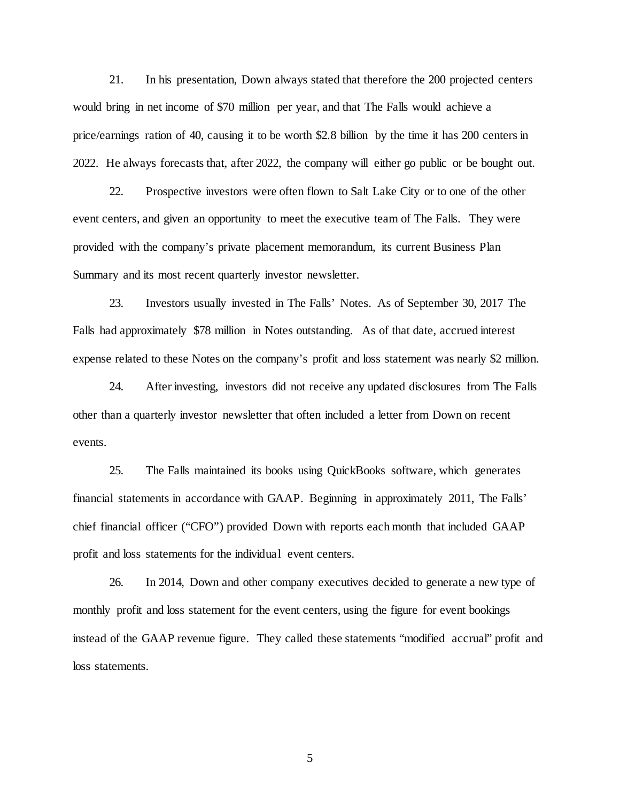21. In his presentation, Down always stated that therefore the 200 projected centers would bring in net income of \$70 million per year, and that The Falls would achieve a price/earnings ration of 40, causing it to be worth \$2.8 billion by the time it has 200 centers in 2022. He always forecasts that, after 2022, the company will either go public or be bought out.

22. Prospective investors were often flown to Salt Lake City or to one of the other event centers, and given an opportunity to meet the executive team of The Falls. They were provided with the company's private placement memorandum, its current Business Plan Summary and its most recent quarterly investor newsletter.

23. Investors usually invested in The Falls' Notes. As of September 30, 2017 The Falls had approximately \$78 million in Notes outstanding. As of that date, accrued interest expense related to these Notes on the company's profit and loss statement was nearly \$2 million.

24. After investing, investors did not receive any updated disclosures from The Falls other than a quarterly investor newsletter that often included a letter from Down on recent events.

25. The Falls maintained its books using QuickBooks software, which generates financial statements in accordance with GAAP. Beginning in approximately 2011, The Falls' chief financial officer ("CFO") provided Down with reports each month that included GAAP profit and loss statements for the individual event centers.

26. In 2014, Down and other company executives decided to generate a new type of monthly profit and loss statement for the event centers, using the figure for event bookings instead of the GAAP revenue figure. They called these statements "modified accrual" profit and loss statements.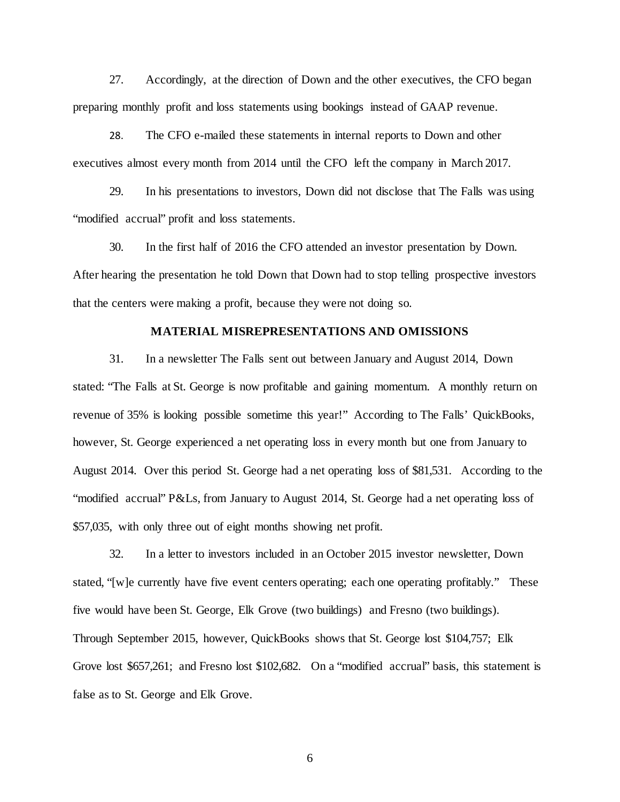27. Accordingly, at the direction of Down and the other executives, the CFO began preparing monthly profit and loss statements using bookings instead of GAAP revenue.

28. The CFO e-mailed these statements in internal reports to Down and other executives almost every month from 2014 until the CFO left the company in March 2017.

29. In his presentations to investors, Down did not disclose that The Falls was using "modified accrual" profit and loss statements.

30. In the first half of 2016 the CFO attended an investor presentation by Down. After hearing the presentation he told Down that Down had to stop telling prospective investors that the centers were making a profit, because they were not doing so.

## **MATERIAL MISREPRESENTATIONS AND OMISSIONS**

31. In a newsletter The Falls sent out between January and August 2014, Down stated: "The Falls at St. George is now profitable and gaining momentum. A monthly return on revenue of 35% is looking possible sometime this year!" According to The Falls' QuickBooks, however, St. George experienced a net operating loss in every month but one from January to August 2014. Over this period St. George had a net operating loss of \$81,531. According to the "modified accrual" P&Ls, from January to August 2014, St. George had a net operating loss of \$57,035, with only three out of eight months showing net profit.

32. In a letter to investors included in an October 2015 investor newsletter, Down stated, "[w]e currently have five event centers operating; each one operating profitably." These five would have been St. George, Elk Grove (two buildings) and Fresno (two buildings). Through September 2015, however, QuickBooks shows that St. George lost \$104,757; Elk Grove lost \$657,261; and Fresno lost \$102,682. On a "modified accrual" basis, this statement is false as to St. George and Elk Grove.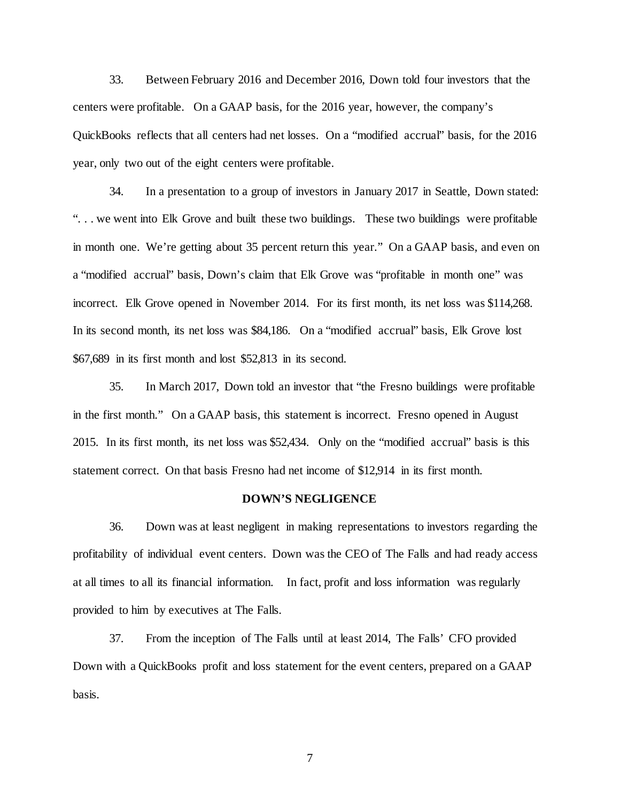33. Between February 2016 and December 2016, Down told four investors that the centers were profitable. On a GAAP basis, for the 2016 year, however, the company's QuickBooks reflects that all centers had net losses. On a "modified accrual" basis, for the 2016 year, only two out of the eight centers were profitable.

34. In a presentation to a group of investors in January 2017 in Seattle, Down stated: ". . . we went into Elk Grove and built these two buildings. These two buildings were profitable in month one. We're getting about 35 percent return this year." On a GAAP basis, and even on a "modified accrual" basis, Down's claim that Elk Grove was "profitable in month one" was incorrect. Elk Grove opened in November 2014. For its first month, its net loss was \$114,268. In its second month, its net loss was \$84,186. On a "modified accrual" basis, Elk Grove lost \$67,689 in its first month and lost \$52,813 in its second.

35. In March 2017, Down told an investor that "the Fresno buildings were profitable in the first month." On a GAAP basis, this statement is incorrect. Fresno opened in August 2015. In its first month, its net loss was \$52,434. Only on the "modified accrual" basis is this statement correct. On that basis Fresno had net income of \$12,914 in its first month.

#### **DOWN'S NEGLIGENCE**

36. Down was at least negligent in making representations to investors regarding the profitability of individual event centers. Down was the CEO of The Falls and had ready access at all times to all its financial information. In fact, profit and loss information was regularly provided to him by executives at The Falls.

37. From the inception of The Falls until at least 2014, The Falls' CFO provided Down with a QuickBooks profit and loss statement for the event centers, prepared on a GAAP basis.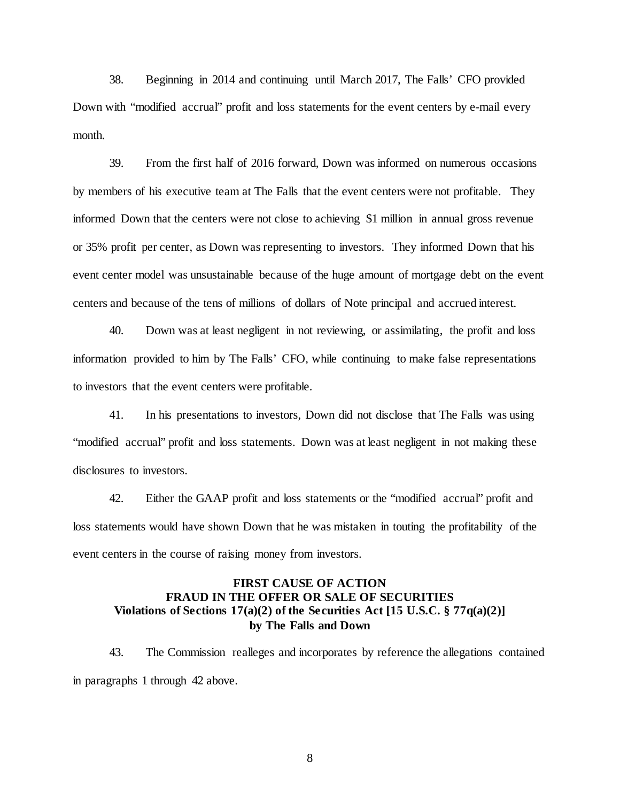38. Beginning in 2014 and continuing until March 2017, The Falls' CFO provided Down with "modified accrual" profit and loss statements for the event centers by e-mail every month.

39. From the first half of 2016 forward, Down was informed on numerous occasions by members of his executive team at The Falls that the event centers were not profitable. They informed Down that the centers were not close to achieving \$1 million in annual gross revenue or 35% profit per center, as Down was representing to investors. They informed Down that his event center model was unsustainable because of the huge amount of mortgage debt on the event centers and because of the tens of millions of dollars of Note principal and accrued interest.

40. Down was at least negligent in not reviewing, or assimilating, the profit and loss information provided to him by The Falls' CFO, while continuing to make false representations to investors that the event centers were profitable.

41. In his presentations to investors, Down did not disclose that The Falls was using "modified accrual" profit and loss statements. Down was at least negligent in not making these disclosures to investors.

42. Either the GAAP profit and loss statements or the "modified accrual" profit and loss statements would have shown Down that he was mistaken in touting the profitability of the event centers in the course of raising money from investors.

# **FIRST CAUSE OF ACTION FRAUD IN THE OFFER OR SALE OF SECURITIES Violations of Sections 17(a)(2) of the Securities Act [15 U.S.C. § 77q(a)(2)] by The Falls and Down**

43. The Commission realleges and incorporates by reference the allegations contained in paragraphs 1 through 42 above.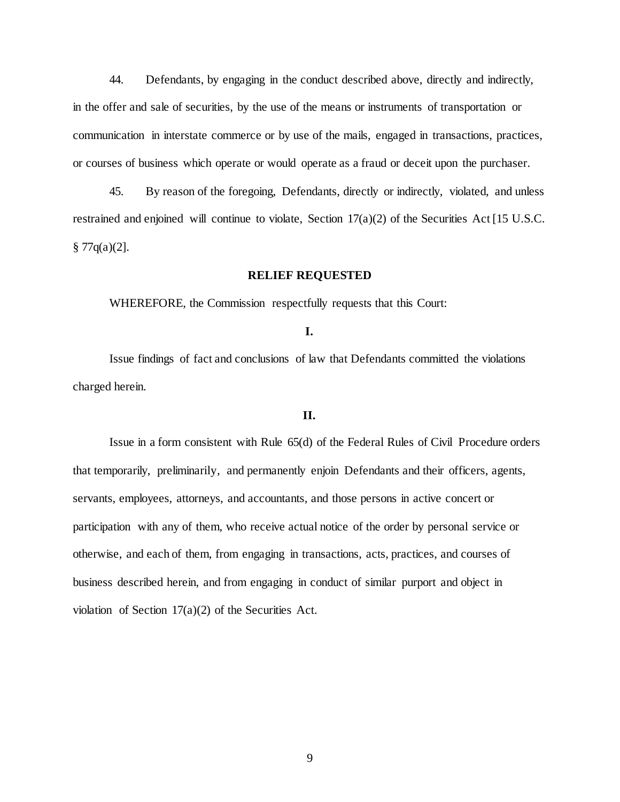44. Defendants, by engaging in the conduct described above, directly and indirectly, in the offer and sale of securities, by the use of the means or instruments of transportation or communication in interstate commerce or by use of the mails, engaged in transactions, practices, or courses of business which operate or would operate as a fraud or deceit upon the purchaser.

45. By reason of the foregoing, Defendants, directly or indirectly, violated, and unless restrained and enjoined will continue to violate, Section 17(a)(2) of the Securities Act [15 U.S.C.  $§ 77q(a)(2].$ 

## **RELIEF REQUESTED**

WHEREFORE, the Commission respectfully requests that this Court:

**I.**

Issue findings of fact and conclusions of law that Defendants committed the violations charged herein.

### **II.**

Issue in a form consistent with Rule 65(d) of the Federal Rules of Civil Procedure orders that temporarily, preliminarily, and permanently enjoin Defendants and their officers, agents, servants, employees, attorneys, and accountants, and those persons in active concert or participation with any of them, who receive actual notice of the order by personal service or otherwise, and each of them, from engaging in transactions, acts, practices, and courses of business described herein, and from engaging in conduct of similar purport and object in violation of Section  $17(a)(2)$  of the Securities Act.